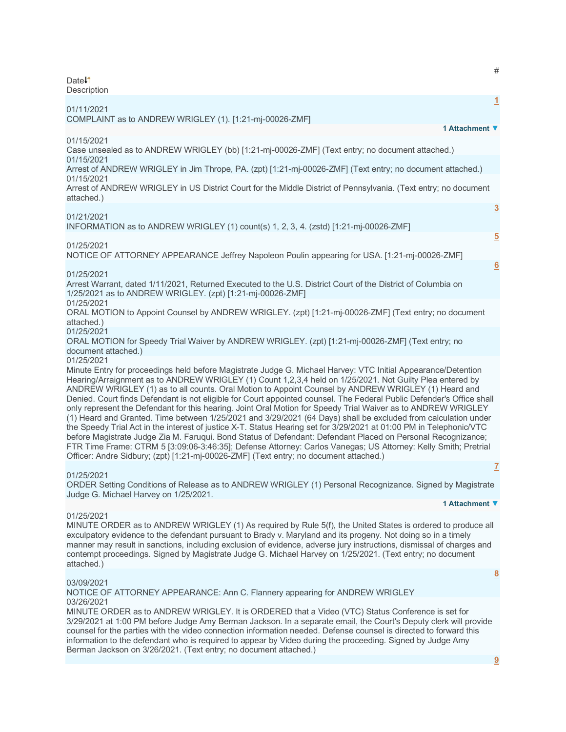Date<sup>1</sup> **Description** 

| 01/11/2021                                                                                                                                                                                                                                                                                                                                                                                                                                                                                                                                                                                                                                                                                                                                                                                                                                                                                                                                                                                                                                                                                                                                                   | $\mathbf{1}$   |
|--------------------------------------------------------------------------------------------------------------------------------------------------------------------------------------------------------------------------------------------------------------------------------------------------------------------------------------------------------------------------------------------------------------------------------------------------------------------------------------------------------------------------------------------------------------------------------------------------------------------------------------------------------------------------------------------------------------------------------------------------------------------------------------------------------------------------------------------------------------------------------------------------------------------------------------------------------------------------------------------------------------------------------------------------------------------------------------------------------------------------------------------------------------|----------------|
| COMPLAINT as to ANDREW WRIGLEY (1). [1:21-mj-00026-ZMF]                                                                                                                                                                                                                                                                                                                                                                                                                                                                                                                                                                                                                                                                                                                                                                                                                                                                                                                                                                                                                                                                                                      |                |
| 1 Attachment ▼                                                                                                                                                                                                                                                                                                                                                                                                                                                                                                                                                                                                                                                                                                                                                                                                                                                                                                                                                                                                                                                                                                                                               |                |
| 01/15/2021<br>Case unsealed as to ANDREW WRIGLEY (bb) [1:21-mj-00026-ZMF] (Text entry; no document attached.)<br>01/15/2021                                                                                                                                                                                                                                                                                                                                                                                                                                                                                                                                                                                                                                                                                                                                                                                                                                                                                                                                                                                                                                  |                |
| Arrest of ANDREW WRIGLEY in Jim Thrope, PA. (zpt) [1:21-mj-00026-ZMF] (Text entry; no document attached.)<br>01/15/2021                                                                                                                                                                                                                                                                                                                                                                                                                                                                                                                                                                                                                                                                                                                                                                                                                                                                                                                                                                                                                                      |                |
| Arrest of ANDREW WRIGLEY in US District Court for the Middle District of Pennsylvania. (Text entry; no document<br>attached.)                                                                                                                                                                                                                                                                                                                                                                                                                                                                                                                                                                                                                                                                                                                                                                                                                                                                                                                                                                                                                                |                |
| 01/21/2021<br>INFORMATION as to ANDREW WRIGLEY (1) count(s) 1, 2, 3, 4. (zstd) [1:21-mj-00026-ZMF]                                                                                                                                                                                                                                                                                                                                                                                                                                                                                                                                                                                                                                                                                                                                                                                                                                                                                                                                                                                                                                                           | $\overline{3}$ |
|                                                                                                                                                                                                                                                                                                                                                                                                                                                                                                                                                                                                                                                                                                                                                                                                                                                                                                                                                                                                                                                                                                                                                              | $\overline{5}$ |
| 01/25/2021<br>NOTICE OF ATTORNEY APPEARANCE Jeffrey Napoleon Poulin appearing for USA. [1:21-mj-00026-ZMF]                                                                                                                                                                                                                                                                                                                                                                                                                                                                                                                                                                                                                                                                                                                                                                                                                                                                                                                                                                                                                                                   |                |
| 01/25/2021                                                                                                                                                                                                                                                                                                                                                                                                                                                                                                                                                                                                                                                                                                                                                                                                                                                                                                                                                                                                                                                                                                                                                   | 6              |
| Arrest Warrant, dated 1/11/2021, Returned Executed to the U.S. District Court of the District of Columbia on<br>1/25/2021 as to ANDREW WRIGLEY. (zpt) [1:21-mj-00026-ZMF]                                                                                                                                                                                                                                                                                                                                                                                                                                                                                                                                                                                                                                                                                                                                                                                                                                                                                                                                                                                    |                |
| 01/25/2021<br>ORAL MOTION to Appoint Counsel by ANDREW WRIGLEY. (zpt) [1:21-mj-00026-ZMF] (Text entry; no document<br>attached.)                                                                                                                                                                                                                                                                                                                                                                                                                                                                                                                                                                                                                                                                                                                                                                                                                                                                                                                                                                                                                             |                |
| 01/25/2021<br>ORAL MOTION for Speedy Trial Waiver by ANDREW WRIGLEY. (zpt) [1:21-mj-00026-ZMF] (Text entry; no<br>document attached.)                                                                                                                                                                                                                                                                                                                                                                                                                                                                                                                                                                                                                                                                                                                                                                                                                                                                                                                                                                                                                        |                |
| 01/25/2021<br>Minute Entry for proceedings held before Magistrate Judge G. Michael Harvey: VTC Initial Appearance/Detention<br>Hearing/Arraignment as to ANDREW WRIGLEY (1) Count 1,2,3,4 held on 1/25/2021. Not Guilty Plea entered by<br>ANDREW WRIGLEY (1) as to all counts. Oral Motion to Appoint Counsel by ANDREW WRIGLEY (1) Heard and<br>Denied. Court finds Defendant is not eligible for Court appointed counsel. The Federal Public Defender's Office shall<br>only represent the Defendant for this hearing. Joint Oral Motion for Speedy Trial Waiver as to ANDREW WRIGLEY<br>(1) Heard and Granted. Time between 1/25/2021 and 3/29/2021 (64 Days) shall be excluded from calculation under<br>the Speedy Trial Act in the interest of justice X-T. Status Hearing set for 3/29/2021 at 01:00 PM in Telephonic/VTC<br>before Magistrate Judge Zia M. Faruqui. Bond Status of Defendant: Defendant Placed on Personal Recognizance;<br>FTR Time Frame: CTRM 5 [3:09:06-3:46:35]; Defense Attorney: Carlos Vanegas; US Attorney: Kelly Smith; Pretrial<br>Officer: Andre Sidbury; (zpt) [1:21-mj-00026-ZMF] (Text entry; no document attached.) |                |
| 01/25/2021                                                                                                                                                                                                                                                                                                                                                                                                                                                                                                                                                                                                                                                                                                                                                                                                                                                                                                                                                                                                                                                                                                                                                   | $\mathbf{Z}$   |

ORDER Setting Conditions of Release as to ANDREW WRIGLEY (1) Personal Recognizance. Signed by Magistrate Judge G. Michael Harvey on 1/25/2021.

# **1 Attachment ▼**

## 01/25/2021

MINUTE ORDER as to ANDREW WRIGLEY (1) As required by Rule 5(f), the United States is ordered to produce all exculpatory evidence to the defendant pursuant to Brady v. Maryland and its progeny. Not doing so in a timely manner may result in sanctions, including exclusion of evidence, adverse jury instructions, dismissal of charges and contempt proceedings. Signed by Magistrate Judge G. Michael Harvey on 1/25/2021. (Text entry; no document attached.)

## 03/09/2021

NOTICE OF ATTORNEY APPEARANCE: Ann C. Flannery appearing for ANDREW WRIGLEY 03/26/2021

MINUTE ORDER as to ANDREW WRIGLEY. It is ORDERED that a Video (VTC) Status Conference is set for 3/29/2021 at 1:00 PM before Judge Amy Berman Jackson. In a separate email, the Court's Deputy clerk will provide counsel for the parties with the video connection information needed. Defense counsel is directed to forward this information to the defendant who is required to appear by Video during the proceeding. Signed by Judge Amy Berman Jackson on 3/26/2021. (Text entry; no document attached.)

#

**[8](javascript:void(0))**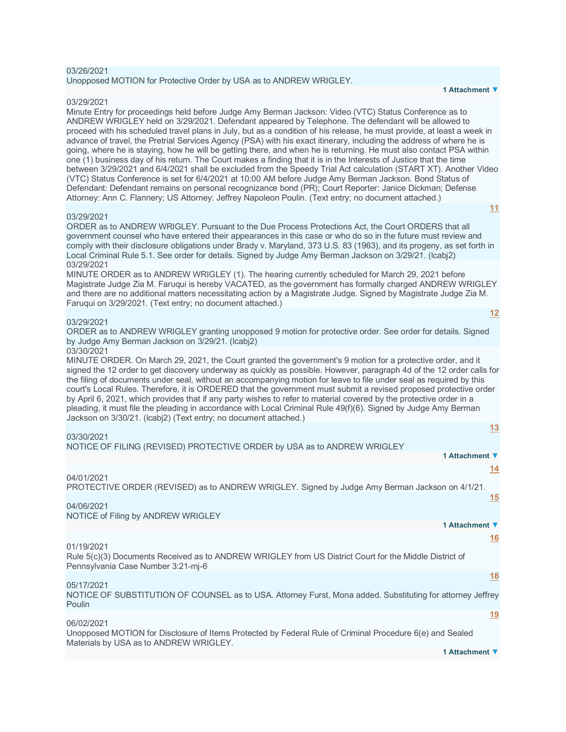## 03/26/2021

Unopposed MOTION for Protective Order by USA as to ANDREW WRIGLEY.

#### 03/29/2021

Minute Entry for proceedings held before Judge Amy Berman Jackson: Video (VTC) Status Conference as to ANDREW WRIGLEY held on 3/29/2021. Defendant appeared by Telephone. The defendant will be allowed to proceed with his scheduled travel plans in July, but as a condition of his release, he must provide, at least a week in advance of travel, the Pretrial Services Agency (PSA) with his exact itinerary, including the address of where he is going, where he is staying, how he will be getting there, and when he is returning. He must also contact PSA within one (1) business day of his return. The Court makes a finding that it is in the Interests of Justice that the time between 3/29/2021 and 6/4/2021 shall be excluded from the Speedy Trial Act calculation (START XT). Another Video (VTC) Status Conference is set for 6/4/2021 at 10:00 AM before Judge Amy Berman Jackson. Bond Status of Defendant: Defendant remains on personal recognizance bond (PR); Court Reporter: Janice Dickman; Defense Attorney: Ann C. Flannery; US Attorney: Jeffrey Napoleon Poulin. (Text entry; no document attached.) **[11](javascript:void(0))**

#### 03/29/2021

ORDER as to ANDREW WRIGLEY. Pursuant to the Due Process Protections Act, the Court ORDERS that all government counsel who have entered their appearances in this case or who do so in the future must review and comply with their disclosure obligations under Brady v. Maryland, 373 U.S. 83 (1963), and its progeny, as set forth in Local Criminal Rule 5.1. See order for details. Signed by Judge Amy Berman Jackson on 3/29/21. (lcabj2) 03/29/2021

MINUTE ORDER as to ANDREW WRIGLEY (1). The hearing currently scheduled for March 29, 2021 before Magistrate Judge Zia M. Faruqui is hereby VACATED, as the government has formally charged ANDREW WRIGLEY and there are no additional matters necessitating action by a Magistrate Judge. Signed by Magistrate Judge Zia M. Faruqui on 3/29/2021. (Text entry; no document attached.)

### 03/29/2021

ORDER as to ANDREW WRIGLEY granting unopposed 9 motion for protective order. See order for details. Signed by Judge Amy Berman Jackson on 3/29/21. (lcabj2)

#### 03/30/2021

MINUTE ORDER. On March 29, 2021, the Court granted the government's 9 motion for a protective order, and it signed the 12 order to get discovery underway as quickly as possible. However, paragraph 4d of the 12 order calls for the filing of documents under seal, without an accompanying motion for leave to file under seal as required by this court's Local Rules. Therefore, it is ORDERED that the government must submit a revised proposed protective order by April 6, 2021, which provides that if any party wishes to refer to material covered by the protective order in a pleading, it must file the pleading in accordance with Local Criminal Rule 49(f)(6). Signed by Judge Amy Berman Jackson on 3/30/21. (lcabj2) (Text entry; no document attached.)

| 03/30/2021 |  |  |  |
|------------|--|--|--|
|            |  |  |  |

NOTICE OF FILING (REVISED) PROTECTIVE ORDER by USA as to ANDREW WRIGLEY

| 1 Attachment ▼                                                                                                                                             |
|------------------------------------------------------------------------------------------------------------------------------------------------------------|
| <u>14</u>                                                                                                                                                  |
| 04/01/2021<br>PROTECTIVE ORDER (REVISED) as to ANDREW WRIGLEY. Signed by Judge Amy Berman Jackson on 4/1/21.                                               |
| 15<br>04/06/2021                                                                                                                                           |
| NOTICE of Filing by ANDREW WRIGLEY                                                                                                                         |
| 1 Attachment ▼                                                                                                                                             |
| 16                                                                                                                                                         |
| 01/19/2021<br>Rule 5(c)(3) Documents Received as to ANDREW WRIGLEY from US District Court for the Middle District of<br>Pennsylvania Case Number 3:21-mj-6 |
| <u>18</u>                                                                                                                                                  |
| 05/17/2021<br>NOTICE OF SUBSTITUTION OF COUNSEL as to USA. Attorney Furst, Mona added. Substituting for attorney Jeffrey<br>Poulin                         |
| <u>19</u>                                                                                                                                                  |

06/02/2021

Unopposed MOTION for Disclosure of Items Protected by Federal Rule of Criminal Procedure 6(e) and Sealed Materials by USA as to ANDREW WRIGLEY.

**[13](javascript:void(0))**

**[12](javascript:void(0))**

**1 Attachment ▼**

#### **1 Attachment ▼**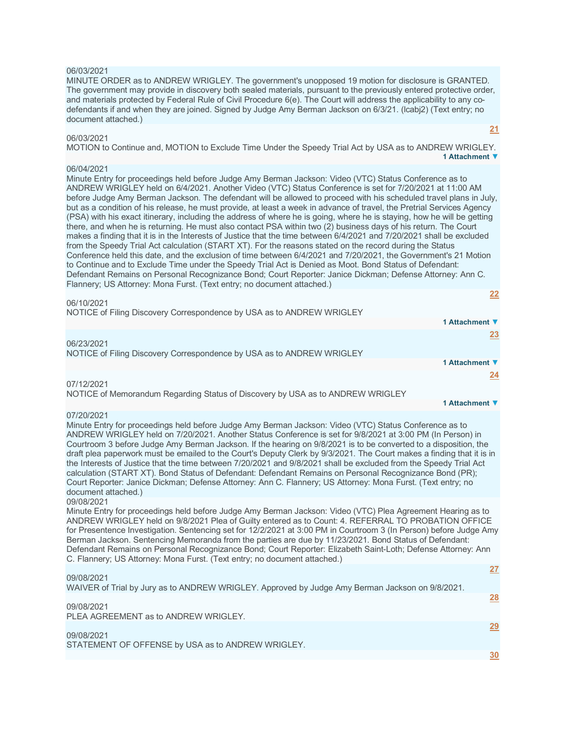## 06/03/2021

MINUTE ORDER as to ANDREW WRIGLEY. The government's unopposed 19 motion for disclosure is GRANTED. The government may provide in discovery both sealed materials, pursuant to the previously entered protective order, and materials protected by Federal Rule of Civil Procedure 6(e). The Court will address the applicability to any codefendants if and when they are joined. Signed by Judge Amy Berman Jackson on 6/3/21. (lcabj2) (Text entry; no document attached.)

### 06/03/2021

MOTION to Continue and, MOTION to Exclude Time Under the Speedy Trial Act by USA as to ANDREW WRIGLEY. **1 Attachment ▼**

### 06/04/2021

Minute Entry for proceedings held before Judge Amy Berman Jackson: Video (VTC) Status Conference as to ANDREW WRIGLEY held on 6/4/2021. Another Video (VTC) Status Conference is set for 7/20/2021 at 11:00 AM before Judge Amy Berman Jackson. The defendant will be allowed to proceed with his scheduled travel plans in July, but as a condition of his release, he must provide, at least a week in advance of travel, the Pretrial Services Agency (PSA) with his exact itinerary, including the address of where he is going, where he is staying, how he will be getting there, and when he is returning. He must also contact PSA within two (2) business days of his return. The Court makes a finding that it is in the Interests of Justice that the time between 6/4/2021 and 7/20/2021 shall be excluded from the Speedy Trial Act calculation (START XT). For the reasons stated on the record during the Status Conference held this date, and the exclusion of time between 6/4/2021 and 7/20/2021, the Government's 21 Motion to Continue and to Exclude Time under the Speedy Trial Act is Denied as Moot. Bond Status of Defendant: Defendant Remains on Personal Recognizance Bond; Court Reporter: Janice Dickman; Defense Attorney: Ann C. Flannery; US Attorney: Mona Furst. (Text entry; no document attached.)

### 06/10/2021

|  | NOTICE of Filing Discovery Correspondence by USA as to ANDREW WRIGLEY |
|--|-----------------------------------------------------------------------|
|  |                                                                       |

# 06/23/2021 NOTICE of Filing Discovery Correspondence by USA as to ANDREW WRIGLEY

07/12/2021 NOTICE of Memorandum Regarding Status of Discovery by USA as to ANDREW WRIGLEY

#### **1 Attachment ▼**

**1 Attachment ▼**

**1 Attachment ▼**

**[21](javascript:void(0))**

**[22](javascript:void(0))**

**[23](javascript:void(0))**

**[24](javascript:void(0))**

## 07/20/2021

Minute Entry for proceedings held before Judge Amy Berman Jackson: Video (VTC) Status Conference as to ANDREW WRIGLEY held on 7/20/2021. Another Status Conference is set for 9/8/2021 at 3:00 PM (In Person) in Courtroom 3 before Judge Amy Berman Jackson. If the hearing on 9/8/2021 is to be converted to a disposition, the draft plea paperwork must be emailed to the Court's Deputy Clerk by 9/3/2021. The Court makes a finding that it is in the Interests of Justice that the time between 7/20/2021 and 9/8/2021 shall be excluded from the Speedy Trial Act calculation (START XT). Bond Status of Defendant: Defendant Remains on Personal Recognizance Bond (PR); Court Reporter: Janice Dickman; Defense Attorney: Ann C. Flannery; US Attorney: Mona Furst. (Text entry; no document attached.)

### 09/08/2021

Minute Entry for proceedings held before Judge Amy Berman Jackson: Video (VTC) Plea Agreement Hearing as to ANDREW WRIGLEY held on 9/8/2021 Plea of Guilty entered as to Count: 4. REFERRAL TO PROBATION OFFICE for Presentence Investigation. Sentencing set for 12/2/2021 at 3:00 PM in Courtroom 3 (In Person) before Judge Amy Berman Jackson. Sentencing Memoranda from the parties are due by 11/23/2021. Bond Status of Defendant: Defendant Remains on Personal Recognizance Bond; Court Reporter: Elizabeth Saint-Loth; Defense Attorney: Ann C. Flannery; US Attorney: Mona Furst. (Text entry; no document attached.)

### 09/08/2021

WAIVER of Trial by Jury as to ANDREW WRIGLEY. Approved by Judge Amy Berman Jackson on 9/8/2021.

#### 09/08/2021

PLEA AGREEMENT as to ANDREW WRIGLEY.

### 09/08/2021

STATEMENT OF OFFENSE by USA as to ANDREW WRIGLEY.

**[30](javascript:void(0))**

**[27](javascript:void(0))**

**[28](javascript:void(0))**

**[29](javascript:void(0))**